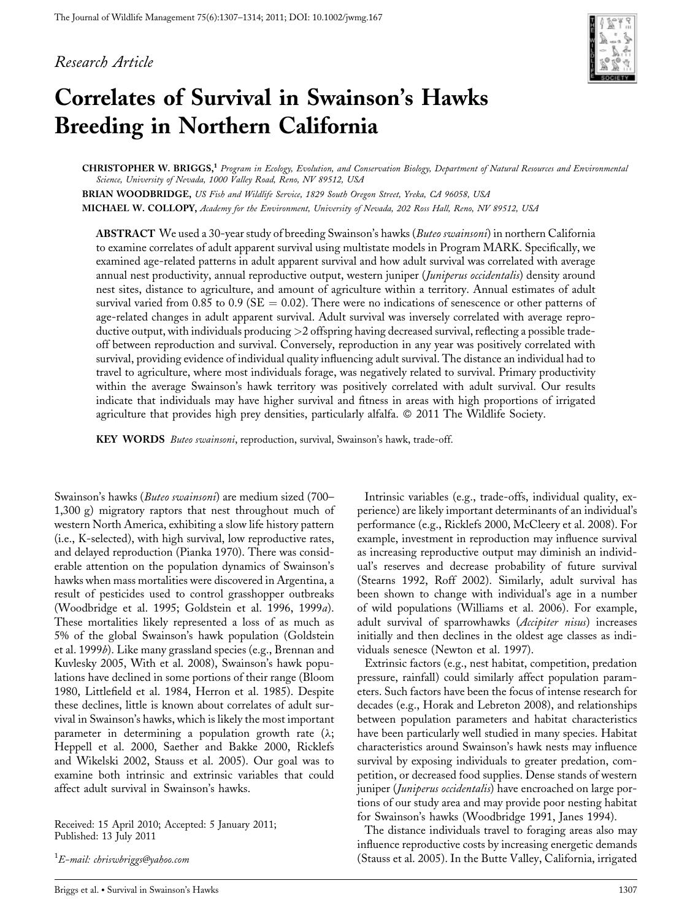# Research Article



# Correlates of Survival in Swainson's Hawks Breeding in Northern California

CHRISTOPHER W. BRIGGS,<sup>1</sup> Program in Ecology, Evolution, and Conservation Biology, Department of Natural Resources and Environmental Science, University of Nevada, 1000 Valley Road, Reno, NV 89512, USA

BRIAN WOODBRIDGE, US Fish and Wildlife Service, 1829 South Oregon Street, Yreka, CA 96058, USA MICHAEL W. COLLOPY, Academy for the Environment, University of Nevada, 202 Ross Hall, Reno, NV 89512, USA

ABSTRACT We used a 30-year study of breeding Swainson's hawks (Buteo swainsoni) in northern California to examine correlates of adult apparent survival using multistate models in Program MARK. Specifically, we examined age-related patterns in adult apparent survival and how adult survival was correlated with average annual nest productivity, annual reproductive output, western juniper (Juniperus occidentalis) density around nest sites, distance to agriculture, and amount of agriculture within a territory. Annual estimates of adult survival varied from 0.85 to 0.9 ( $SE = 0.02$ ). There were no indications of senescence or other patterns of age-related changes in adult apparent survival. Adult survival was inversely correlated with average reproductive output, with individuals producing >2 offspring having decreased survival, reflecting a possible tradeoff between reproduction and survival. Conversely, reproduction in any year was positively correlated with survival, providing evidence of individual quality influencing adult survival. The distance an individual had to travel to agriculture, where most individuals forage, was negatively related to survival. Primary productivity within the average Swainson's hawk territory was positively correlated with adult survival. Our results indicate that individuals may have higher survival and fitness in areas with high proportions of irrigated agriculture that provides high prey densities, particularly alfalfa. © 2011 The Wildlife Society.

KEY WORDS Buteo swainsoni, reproduction, survival, Swainson's hawk, trade-off.

Swainson's hawks (Buteo swainsoni) are medium sized (700– 1,300 g) migratory raptors that nest throughout much of western North America, exhibiting a slow life history pattern (i.e., K-selected), with high survival, low reproductive rates, and delayed reproduction (Pianka 1970). There was considerable attention on the population dynamics of Swainson's hawks when mass mortalities were discovered in Argentina, a result of pesticides used to control grasshopper outbreaks (Woodbridge et al. 1995; Goldstein et al. 1996, 1999a). These mortalities likely represented a loss of as much as 5% of the global Swainson's hawk population (Goldstein et al. 1999b). Like many grassland species (e.g., Brennan and Kuvlesky 2005, With et al. 2008), Swainson's hawk populations have declined in some portions of their range (Bloom 1980, Littlefield et al. 1984, Herron et al. 1985). Despite these declines, little is known about correlates of adult survival in Swainson's hawks, which is likely the most important parameter in determining a population growth rate  $(\lambda;$ Heppell et al. 2000, Saether and Bakke 2000, Ricklefs and Wikelski 2002, Stauss et al. 2005). Our goal was to examine both intrinsic and extrinsic variables that could affect adult survival in Swainson's hawks.

Received: 15 April 2010; Accepted: 5 January 2011; Published: 13 July 2011

 $^1$ E-mail: chriswbriggs@yahoo.com

Briggs et al. - Survival in Swainson's Hawks 1307

Intrinsic variables (e.g., trade-offs, individual quality, experience) are likely important determinants of an individual's performance (e.g., Ricklefs 2000, McCleery et al. 2008). For example, investment in reproduction may influence survival as increasing reproductive output may diminish an individual's reserves and decrease probability of future survival (Stearns 1992, Roff 2002). Similarly, adult survival has been shown to change with individual's age in a number of wild populations (Williams et al. 2006). For example, adult survival of sparrowhawks (Accipiter nisus) increases initially and then declines in the oldest age classes as individuals senesce (Newton et al. 1997).

Extrinsic factors (e.g., nest habitat, competition, predation pressure, rainfall) could similarly affect population parameters. Such factors have been the focus of intense research for decades (e.g., Horak and Lebreton 2008), and relationships between population parameters and habitat characteristics have been particularly well studied in many species. Habitat characteristics around Swainson's hawk nests may influence survival by exposing individuals to greater predation, competition, or decreased food supplies. Dense stands of western juniper (Juniperus occidentalis) have encroached on large portions of our study area and may provide poor nesting habitat for Swainson's hawks (Woodbridge 1991, Janes 1994).

The distance individuals travel to foraging areas also may influence reproductive costs by increasing energetic demands (Stauss et al. 2005). In the Butte Valley, California, irrigated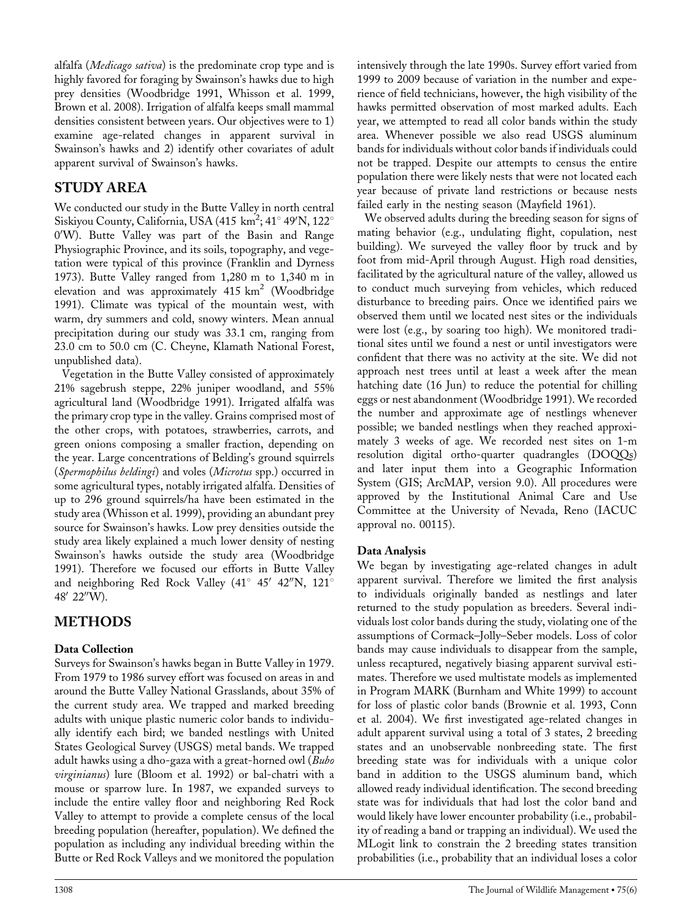alfalfa (Medicago sativa) is the predominate crop type and is highly favored for foraging by Swainson's hawks due to high prey densities (Woodbridge 1991, Whisson et al. 1999, Brown et al. 2008). Irrigation of alfalfa keeps small mammal densities consistent between years. Our objectives were to 1) examine age-related changes in apparent survival in Swainson's hawks and 2) identify other covariates of adult apparent survival of Swainson's hawks.

# STUDY AREA

We conducted our study in the Butte Valley in north central Siskiyou County, California, USA (415 km<sup>2</sup>; 41° 49'N, 122° 0'W). Butte Valley was part of the Basin and Range Physiographic Province, and its soils, topography, and vegetation were typical of this province (Franklin and Dyrness 1973). Butte Valley ranged from 1,280 m to 1,340 m in elevation and was approximately 415  $km^2$  (Woodbridge 1991). Climate was typical of the mountain west, with warm, dry summers and cold, snowy winters. Mean annual precipitation during our study was 33.1 cm, ranging from 23.0 cm to 50.0 cm (C. Cheyne, Klamath National Forest, unpublished data).

Vegetation in the Butte Valley consisted of approximately 21% sagebrush steppe, 22% juniper woodland, and 55% agricultural land (Woodbridge 1991). Irrigated alfalfa was the primary crop type in the valley. Grains comprised most of the other crops, with potatoes, strawberries, carrots, and green onions composing a smaller fraction, depending on the year. Large concentrations of Belding's ground squirrels (Spermophilus beldingi) and voles (Microtus spp.) occurred in some agricultural types, notably irrigated alfalfa. Densities of up to 296 ground squirrels/ha have been estimated in the study area (Whisson et al. 1999), providing an abundant prey source for Swainson's hawks. Low prey densities outside the study area likely explained a much lower density of nesting Swainson's hawks outside the study area (Woodbridge 1991). Therefore we focused our efforts in Butte Valley and neighboring Red Rock Valley (41 $^{\circ}$  45' 42"N, 121 $^{\circ}$ 48' 22"W).

# **METHODS**

# Data Collection

Surveys for Swainson's hawks began in Butte Valley in 1979. From 1979 to 1986 survey effort was focused on areas in and around the Butte Valley National Grasslands, about 35% of the current study area. We trapped and marked breeding adults with unique plastic numeric color bands to individually identify each bird; we banded nestlings with United States Geological Survey (USGS) metal bands. We trapped adult hawks using a dho-gaza with a great-horned owl (Bubo virginianus) lure (Bloom et al. 1992) or bal-chatri with a mouse or sparrow lure. In 1987, we expanded surveys to include the entire valley floor and neighboring Red Rock Valley to attempt to provide a complete census of the local breeding population (hereafter, population). We defined the population as including any individual breeding within the Butte or Red Rock Valleys and we monitored the population

intensively through the late 1990s. Survey effort varied from 1999 to 2009 because of variation in the number and experience of field technicians, however, the high visibility of the hawks permitted observation of most marked adults. Each year, we attempted to read all color bands within the study area. Whenever possible we also read USGS aluminum bands for individuals without color bands if individuals could not be trapped. Despite our attempts to census the entire population there were likely nests that were not located each year because of private land restrictions or because nests failed early in the nesting season (Mayfield 1961).

We observed adults during the breeding season for signs of mating behavior (e.g., undulating flight, copulation, nest building). We surveyed the valley floor by truck and by foot from mid-April through August. High road densities, facilitated by the agricultural nature of the valley, allowed us to conduct much surveying from vehicles, which reduced disturbance to breeding pairs. Once we identified pairs we observed them until we located nest sites or the individuals were lost (e.g., by soaring too high). We monitored traditional sites until we found a nest or until investigators were confident that there was no activity at the site. We did not approach nest trees until at least a week after the mean hatching date (16 Jun) to reduce the potential for chilling eggs or nest abandonment (Woodbridge 1991). We recorded the number and approximate age of nestlings whenever possible; we banded nestlings when they reached approximately 3 weeks of age. We recorded nest sites on 1-m resolution digital ortho-quarter quadrangles (DOQQs) and later input them into a Geographic Information System (GIS; ArcMAP, version 9.0). All procedures were approved by the Institutional Animal Care and Use Committee at the University of Nevada, Reno (IACUC approval no. 00115).

# Data Analysis

We began by investigating age-related changes in adult apparent survival. Therefore we limited the first analysis to individuals originally banded as nestlings and later returned to the study population as breeders. Several individuals lost color bands during the study, violating one of the assumptions of Cormack–Jolly–Seber models. Loss of color bands may cause individuals to disappear from the sample, unless recaptured, negatively biasing apparent survival estimates. Therefore we used multistate models as implemented in Program MARK (Burnham and White 1999) to account for loss of plastic color bands (Brownie et al. 1993, Conn et al. 2004). We first investigated age-related changes in adult apparent survival using a total of 3 states, 2 breeding states and an unobservable nonbreeding state. The first breeding state was for individuals with a unique color band in addition to the USGS aluminum band, which allowed ready individual identification. The second breeding state was for individuals that had lost the color band and would likely have lower encounter probability (i.e., probability of reading a band or trapping an individual). We used the MLogit link to constrain the 2 breeding states transition probabilities (i.e., probability that an individual loses a color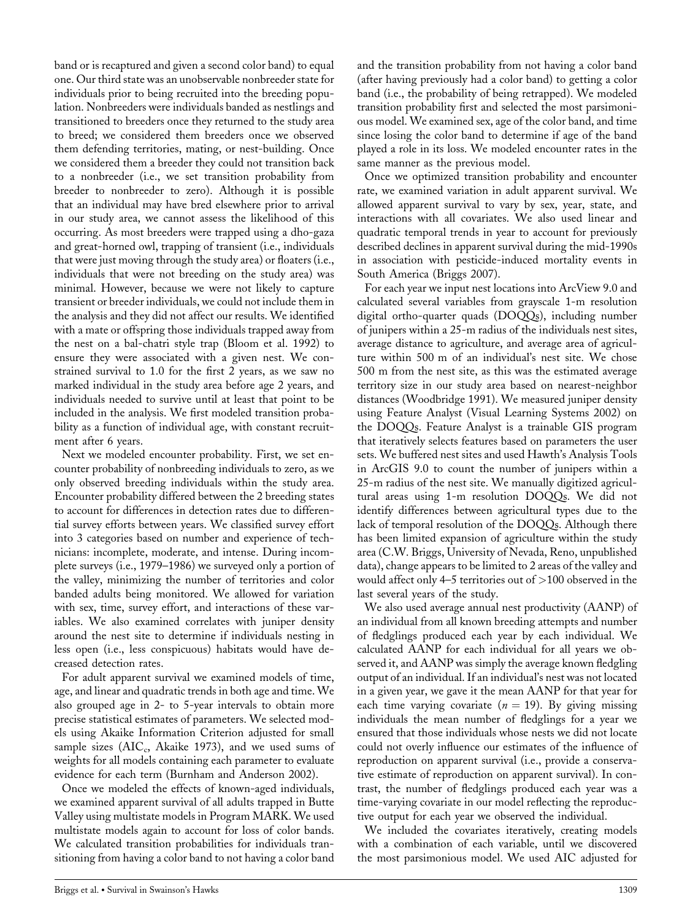band or is recaptured and given a second color band) to equal one. Our third state was an unobservable nonbreeder state for individuals prior to being recruited into the breeding population. Nonbreeders were individuals banded as nestlings and transitioned to breeders once they returned to the study area to breed; we considered them breeders once we observed them defending territories, mating, or nest-building. Once we considered them a breeder they could not transition back to a nonbreeder (i.e., we set transition probability from breeder to nonbreeder to zero). Although it is possible that an individual may have bred elsewhere prior to arrival in our study area, we cannot assess the likelihood of this occurring. As most breeders were trapped using a dho-gaza and great-horned owl, trapping of transient (i.e., individuals that were just moving through the study area) or floaters (i.e., individuals that were not breeding on the study area) was minimal. However, because we were not likely to capture transient or breeder individuals, we could not include them in the analysis and they did not affect our results. We identified with a mate or offspring those individuals trapped away from the nest on a bal-chatri style trap (Bloom et al. 1992) to ensure they were associated with a given nest. We constrained survival to 1.0 for the first 2 years, as we saw no marked individual in the study area before age 2 years, and individuals needed to survive until at least that point to be included in the analysis. We first modeled transition probability as a function of individual age, with constant recruitment after 6 years.

Next we modeled encounter probability. First, we set encounter probability of nonbreeding individuals to zero, as we only observed breeding individuals within the study area. Encounter probability differed between the 2 breeding states to account for differences in detection rates due to differential survey efforts between years. We classified survey effort into 3 categories based on number and experience of technicians: incomplete, moderate, and intense. During incomplete surveys (i.e., 1979–1986) we surveyed only a portion of the valley, minimizing the number of territories and color banded adults being monitored. We allowed for variation with sex, time, survey effort, and interactions of these variables. We also examined correlates with juniper density around the nest site to determine if individuals nesting in less open (i.e., less conspicuous) habitats would have decreased detection rates.

For adult apparent survival we examined models of time, age, and linear and quadratic trends in both age and time. We also grouped age in 2- to 5-year intervals to obtain more precise statistical estimates of parameters. We selected models using Akaike Information Criterion adjusted for small sample sizes  $(AIC_c, Akaike 1973)$ , and we used sums of weights for all models containing each parameter to evaluate evidence for each term (Burnham and Anderson 2002).

Once we modeled the effects of known-aged individuals, we examined apparent survival of all adults trapped in Butte Valley using multistate models in Program MARK. We used multistate models again to account for loss of color bands. We calculated transition probabilities for individuals transitioning from having a color band to not having a color band and the transition probability from not having a color band (after having previously had a color band) to getting a color band (i.e., the probability of being retrapped). We modeled transition probability first and selected the most parsimonious model. We examined sex, age of the color band, and time since losing the color band to determine if age of the band played a role in its loss. We modeled encounter rates in the same manner as the previous model.

Once we optimized transition probability and encounter rate, we examined variation in adult apparent survival. We allowed apparent survival to vary by sex, year, state, and interactions with all covariates. We also used linear and quadratic temporal trends in year to account for previously described declines in apparent survival during the mid-1990s in association with pesticide-induced mortality events in South America (Briggs 2007).

For each year we input nest locations into ArcView 9.0 and calculated several variables from grayscale 1-m resolution digital ortho-quarter quads (DOQQs), including number of junipers within a 25-m radius of the individuals nest sites, average distance to agriculture, and average area of agriculture within 500 m of an individual's nest site. We chose 500 m from the nest site, as this was the estimated average territory size in our study area based on nearest-neighbor distances (Woodbridge 1991). We measured juniper density using Feature Analyst (Visual Learning Systems 2002) on the DOQQs. Feature Analyst is a trainable GIS program that iteratively selects features based on parameters the user sets. We buffered nest sites and used Hawth's Analysis Tools in ArcGIS 9.0 to count the number of junipers within a 25-m radius of the nest site. We manually digitized agricultural areas using 1-m resolution DOQQs. We did not identify differences between agricultural types due to the lack of temporal resolution of the DOQQs. Although there has been limited expansion of agriculture within the study area (C.W. Briggs, University of Nevada, Reno, unpublished data), change appears to be limited to 2 areas of the valley and would affect only 4–5 territories out of >100 observed in the last several years of the study.

We also used average annual nest productivity (AANP) of an individual from all known breeding attempts and number of fledglings produced each year by each individual. We calculated AANP for each individual for all years we observed it, and AANP was simply the average known fledgling output of an individual. If an individual's nest was not located in a given year, we gave it the mean AANP for that year for each time varying covariate ( $n = 19$ ). By giving missing individuals the mean number of fledglings for a year we ensured that those individuals whose nests we did not locate could not overly influence our estimates of the influence of reproduction on apparent survival (i.e., provide a conservative estimate of reproduction on apparent survival). In contrast, the number of fledglings produced each year was a time-varying covariate in our model reflecting the reproductive output for each year we observed the individual.

We included the covariates iteratively, creating models with a combination of each variable, until we discovered the most parsimonious model. We used AIC adjusted for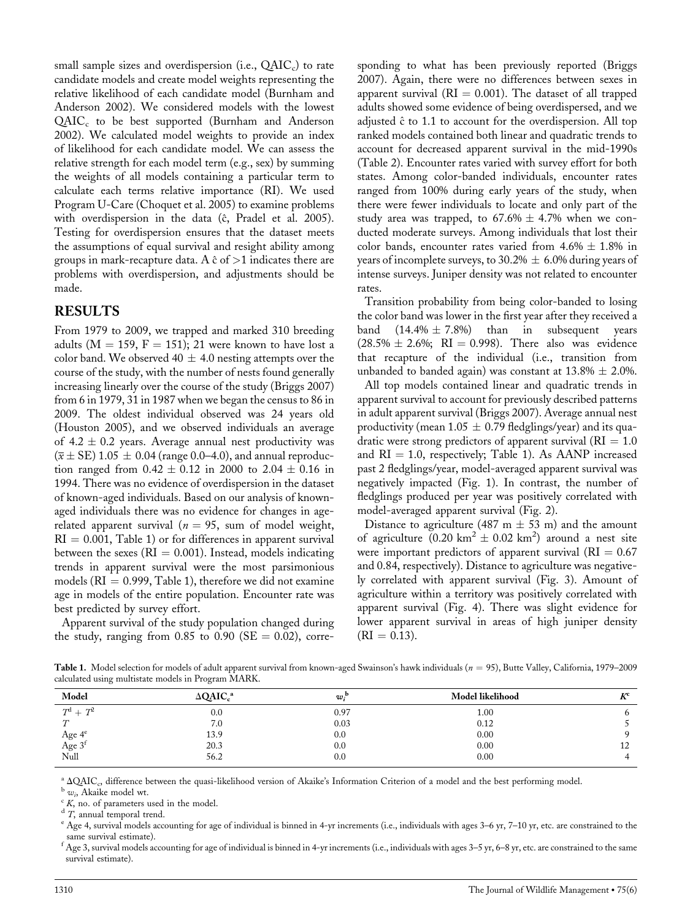small sample sizes and overdispersion (i.e.,  $QAIC<sub>c</sub>$ ) to rate candidate models and create model weights representing the relative likelihood of each candidate model (Burnham and Anderson 2002). We considered models with the lowest QAIC<sub>c</sub> to be best supported (Burnham and Anderson 2002). We calculated model weights to provide an index of likelihood for each candidate model. We can assess the relative strength for each model term (e.g., sex) by summing the weights of all models containing a particular term to calculate each terms relative importance (RI). We used Program U-Care (Choquet et al. 2005) to examine problems with overdispersion in the data (ĉ, Pradel et al. 2005). Testing for overdispersion ensures that the dataset meets the assumptions of equal survival and resight ability among groups in mark-recapture data. A  $\hat{c}$  of  $>$ 1 indicates there are problems with overdispersion, and adjustments should be made.

#### RESULTS

From 1979 to 2009, we trapped and marked 310 breeding adults ( $M = 159$ ,  $F = 151$ ); 21 were known to have lost a color band. We observed 40  $\pm$  4.0 nesting attempts over the course of the study, with the number of nests found generally increasing linearly over the course of the study (Briggs 2007) from 6 in 1979, 31 in 1987 when we began the census to 86 in 2009. The oldest individual observed was 24 years old (Houston 2005), and we observed individuals an average of 4.2  $\pm$  0.2 years. Average annual nest productivity was  $(\bar{x} \pm \text{SE})$  1.05  $\pm$  0.04 (range 0.0–4.0), and annual reproduction ranged from  $0.42 \pm 0.12$  in 2000 to  $2.04 \pm 0.16$  in 1994. There was no evidence of overdispersion in the dataset of known-aged individuals. Based on our analysis of knownaged individuals there was no evidence for changes in agerelated apparent survival ( $n = 95$ , sum of model weight,  $RI = 0.001$ , Table 1) or for differences in apparent survival between the sexes ( $RI = 0.001$ ). Instead, models indicating trends in apparent survival were the most parsimonious models ( $RI = 0.999$ , Table 1), therefore we did not examine age in models of the entire population. Encounter rate was best predicted by survey effort.

Apparent survival of the study population changed during the study, ranging from  $0.85$  to  $0.90$  (SE = 0.02), corre-

sponding to what has been previously reported (Briggs 2007). Again, there were no differences between sexes in apparent survival ( $RI = 0.001$ ). The dataset of all trapped adults showed some evidence of being overdispersed, and we adjusted  $\hat{c}$  to 1.1 to account for the overdispersion. All top ranked models contained both linear and quadratic trends to account for decreased apparent survival in the mid-1990s (Table 2). Encounter rates varied with survey effort for both states. Among color-banded individuals, encounter rates ranged from 100% during early years of the study, when there were fewer individuals to locate and only part of the study area was trapped, to  $67.6\% \pm 4.7\%$  when we conducted moderate surveys. Among individuals that lost their color bands, encounter rates varied from  $4.6\% \pm 1.8\%$  in years of incomplete surveys, to 30.2%  $\pm$  6.0% during years of intense surveys. Juniper density was not related to encounter rates.

Transition probability from being color-banded to losing the color band was lower in the first year after they received a band  $(14.4\% \pm 7.8\%)$  than in subsequent years  $(28.5\% \pm 2.6\%; \text{ RI} = 0.998)$ . There also was evidence that recapture of the individual (i.e., transition from unbanded to banded again) was constant at  $13.8\% \pm 2.0\%$ .

All top models contained linear and quadratic trends in apparent survival to account for previously described patterns in adult apparent survival (Briggs 2007). Average annual nest productivity (mean  $1.05 \pm 0.79$  fledglings/year) and its quadratic were strong predictors of apparent survival ( $RI = 1.0$ ) and  $RI = 1.0$ , respectively; Table 1). As AANP increased past 2 fledglings/year, model-averaged apparent survival was negatively impacted (Fig. 1). In contrast, the number of fledglings produced per year was positively correlated with model-averaged apparent survival (Fig. 2).

Distance to agriculture (487 m  $\pm$  53 m) and the amount of agriculture  $(0.20 \text{ km}^2 \pm 0.02 \text{ km}^2)$  around a nest site were important predictors of apparent survival ( $\text{RI} = 0.67$ ) and 0.84, respectively). Distance to agriculture was negatively correlated with apparent survival (Fig. 3). Amount of agriculture within a territory was positively correlated with apparent survival (Fig. 4). There was slight evidence for lower apparent survival in areas of high juniper density  $(RI = 0.13).$ 

Table 1. Model selection for models of adult apparent survival from known-aged Swainson's hawk individuals ( $n = 95$ ), Butte Valley, California, 1979–2009 calculated using multistate models in Program MARK.

| Model                     | $\triangle$ QAIC <sub>c</sub> <sup>a</sup> | w:   | Model likelihood | $L^{\mathcal{F}}$ |
|---------------------------|--------------------------------------------|------|------------------|-------------------|
| $T^{\rm d}$ + $T^{\rm 2}$ | 0.0                                        | 0.97 | 1.00             |                   |
| $\tau$                    | 7.0                                        | 0.03 | 0.12             |                   |
|                           | 13.9                                       | 0.0  | 0.00             |                   |
| Age $4^e$<br>Age $3^f$    | 20.3                                       | 0.0  | 0.00             | 14                |
| Null                      | 56.2                                       | 0.0  | 0.00             |                   |

<sup>a</sup>  $\triangle QAIC_c$ , difference between the quasi-likelihood version of Akaike's Information Criterion of a model and the best performing model.<br><sup>b</sup>  $w_i$ , Akaike model wt.<br><sup>c</sup> K, no. of parameters used in the model.<br><sup>d</sup> T, annua same survival estimate).

 $^{\rm f}$  Age 3, survival models accounting for age of individual is binned in 4-yr increments (i.e., individuals with ages 3–5 yr, 6–8 yr, etc. are constrained to the same survival estimate).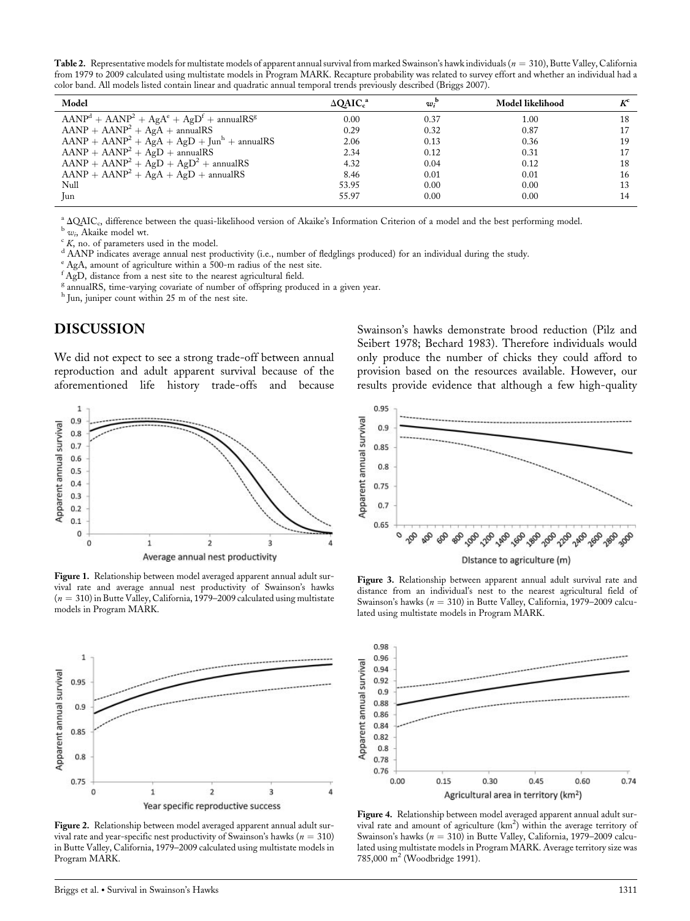Table 2. Representative models for multistate models of apparent annual survival from marked Swainson's hawk individuals ( $n = 310$ ), Butte Valley, California from 1979 to 2009 calculated using multistate models in Program MARK. Recapture probability was related to survey effort and whether an individual had a color band. All models listed contain linear and quadratic annual temporal trends previously described (Briggs 2007).

| Model                                        | $\triangle QAIC_c^a$ | $w_i^{\mathrm{b}}$ | Model likelihood | $K^{\rm c}$ |
|----------------------------------------------|----------------------|--------------------|------------------|-------------|
| $AANPd + AANP2 + AgAe + AgDt + annualRSg$    | 0.00                 | 0.37               | 1.00             | 18          |
| $AANP + AANP2 + AgA + annualRS$              | 0.29                 | 0.32               | 0.87             | 17          |
| $AANP + AANP2 + AgA + AgD + Junh + annualRS$ | 2.06                 | 0.13               | 0.36             | 19          |
| $AANP + AANP2 + AgD + annualRS$              | 2.34                 | 0.12               | 0.31             | 17          |
| $AANP + AANP2 + AgD + AgD2 + annualRS$       | 4.32                 | 0.04               | 0.12             | 18          |
| $AANP + AANP2 + AgA + AgD + annualRS$        | 8.46                 | 0.01               | 0.01             | 16          |
| Null                                         | 53.95                | 0.00               | 0.00             | 13          |
| Jun                                          | 55.97                | 0.00               | 0.00             | 14          |

<sup>a</sup>  $\triangle QAIC_c$ , difference between the quasi-likelihood version of Akaike's Information Criterion of a model and the best performing model.<br><sup>b</sup>  $w_i$ , Akaike model wt.<br><sup>c</sup> K, no. of parameters used in the model.<br><sup>d</sup> AANP ind

<sup>e</sup> AgA, amount of agriculture within a 500-m radius of the nest site.

f AgD, distance from a nest site to the nearest agricultural field.

<sup>g</sup> annualRS, time-varying covariate of number of offspring produced in a given year.

h Jun, juniper count within 25 m of the nest site.

# DISCUSSION

We did not expect to see a strong trade-off between annual reproduction and adult apparent survival because of the aforementioned life history trade-offs and because



Figure 1. Relationship between model averaged apparent annual adult survival rate and average annual nest productivity of Swainson's hawks  $(n = 310)$  in Butte Valley, California, 1979–2009 calculated using multistate models in Program MARK.



Figure 2. Relationship between model averaged apparent annual adult survival rate and year-specific nest productivity of Swainson's hawks ( $n = 310$ ) in Butte Valley, California, 1979–2009 calculated using multistate models in Program MARK.

Swainson's hawks demonstrate brood reduction (Pilz and Seibert 1978; Bechard 1983). Therefore individuals would only produce the number of chicks they could afford to provision based on the resources available. However, our results provide evidence that although a few high-quality



Figure 3. Relationship between apparent annual adult survival rate and distance from an individual's nest to the nearest agricultural field of Swainson's hawks ( $n = 310$ ) in Butte Valley, California, 1979–2009 calculated using multistate models in Program MARK.



Figure 4. Relationship between model averaged apparent annual adult survival rate and amount of agriculture (km<sup>2</sup>) within the average territory of Swainson's hawks ( $n = 310$ ) in Butte Valley, California, 1979–2009 calculated using multistate models in Program MARK. Average territory size was 785,000 m<sup>2</sup> (Woodbridge 1991).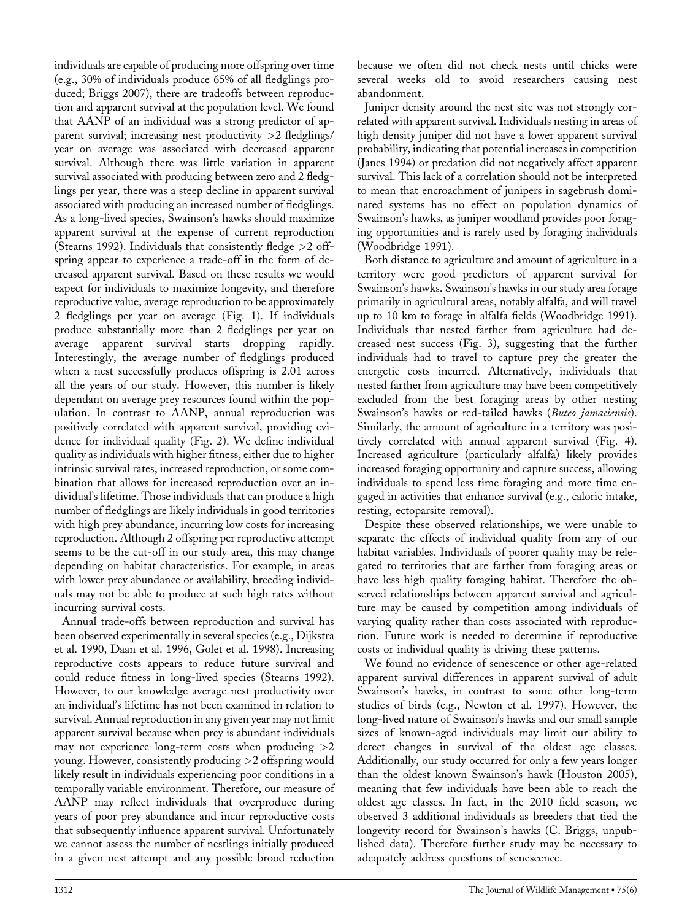individuals are capable of producing more offspring over time (e.g., 30% of individuals produce 65% of all fledglings produced; Briggs 2007), there are tradeoffs between reproduction and apparent survival at the population level. We found that AANP of an individual was a strong predictor of apparent survival; increasing nest productivity >2 fledglings/ year on average was associated with decreased apparent survival. Although there was little variation in apparent survival associated with producing between zero and 2 fledglings per year, there was a steep decline in apparent survival associated with producing an increased number of fledglings. As a long-lived species, Swainson's hawks should maximize apparent survival at the expense of current reproduction (Stearns 1992). Individuals that consistently fledge  $>2$  offspring appear to experience a trade-off in the form of decreased apparent survival. Based on these results we would expect for individuals to maximize longevity, and therefore reproductive value, average reproduction to be approximately 2 fledglings per year on average (Fig. 1). If individuals produce substantially more than 2 fledglings per year on average apparent survival starts dropping rapidly. Interestingly, the average number of fledglings produced when a nest successfully produces offspring is 2.01 across all the years of our study. However, this number is likely dependant on average prey resources found within the population. In contrast to AANP, annual reproduction was positively correlated with apparent survival, providing evidence for individual quality (Fig. 2). We define individual quality as individuals with higher fitness, either due to higher intrinsic survival rates, increased reproduction, or some combination that allows for increased reproduction over an individual's lifetime. Those individuals that can produce a high number of fledglings are likely individuals in good territories with high prey abundance, incurring low costs for increasing reproduction. Although 2 offspring per reproductive attempt seems to be the cut-off in our study area, this may change depending on habitat characteristics. For example, in areas with lower prey abundance or availability, breeding individuals may not be able to produce at such high rates without incurring survival costs.

Annual trade-offs between reproduction and survival has been observed experimentally in several species (e.g., Dijkstra et al. 1990, Daan et al. 1996, Golet et al. 1998). Increasing reproductive costs appears to reduce future survival and could reduce fitness in long-lived species (Stearns 1992). However, to our knowledge average nest productivity over an individual's lifetime has not been examined in relation to survival. Annual reproduction in any given year may not limit apparent survival because when prey is abundant individuals may not experience long-term costs when producing  $>2$ young. However, consistently producing >2 offspring would likely result in individuals experiencing poor conditions in a temporally variable environment. Therefore, our measure of AANP may reflect individuals that overproduce during years of poor prey abundance and incur reproductive costs that subsequently influence apparent survival. Unfortunately we cannot assess the number of nestlings initially produced in a given nest attempt and any possible brood reduction

because we often did not check nests until chicks were several weeks old to avoid researchers causing nest abandonment.

Juniper density around the nest site was not strongly correlated with apparent survival. Individuals nesting in areas of high density juniper did not have a lower apparent survival probability, indicating that potential increases in competition (Janes 1994) or predation did not negatively affect apparent survival. This lack of a correlation should not be interpreted to mean that encroachment of junipers in sagebrush dominated systems has no effect on population dynamics of Swainson's hawks, as juniper woodland provides poor foraging opportunities and is rarely used by foraging individuals (Woodbridge 1991).

Both distance to agriculture and amount of agriculture in a territory were good predictors of apparent survival for Swainson's hawks. Swainson's hawks in our study area forage primarily in agricultural areas, notably alfalfa, and will travel up to 10 km to forage in alfalfa fields (Woodbridge 1991). Individuals that nested farther from agriculture had decreased nest success (Fig. 3), suggesting that the further individuals had to travel to capture prey the greater the energetic costs incurred. Alternatively, individuals that nested farther from agriculture may have been competitively excluded from the best foraging areas by other nesting Swainson's hawks or red-tailed hawks (Buteo jamaciensis). Similarly, the amount of agriculture in a territory was positively correlated with annual apparent survival (Fig. 4). Increased agriculture (particularly alfalfa) likely provides increased foraging opportunity and capture success, allowing individuals to spend less time foraging and more time engaged in activities that enhance survival (e.g., caloric intake, resting, ectoparsite removal).

Despite these observed relationships, we were unable to separate the effects of individual quality from any of our habitat variables. Individuals of poorer quality may be relegated to territories that are farther from foraging areas or have less high quality foraging habitat. Therefore the observed relationships between apparent survival and agriculture may be caused by competition among individuals of varying quality rather than costs associated with reproduction. Future work is needed to determine if reproductive costs or individual quality is driving these patterns.

We found no evidence of senescence or other age-related apparent survival differences in apparent survival of adult Swainson's hawks, in contrast to some other long-term studies of birds (e.g., Newton et al. 1997). However, the long-lived nature of Swainson's hawks and our small sample sizes of known-aged individuals may limit our ability to detect changes in survival of the oldest age classes. Additionally, our study occurred for only a few years longer than the oldest known Swainson's hawk (Houston 2005), meaning that few individuals have been able to reach the oldest age classes. In fact, in the 2010 field season, we observed 3 additional individuals as breeders that tied the longevity record for Swainson's hawks (C. Briggs, unpublished data). Therefore further study may be necessary to adequately address questions of senescence.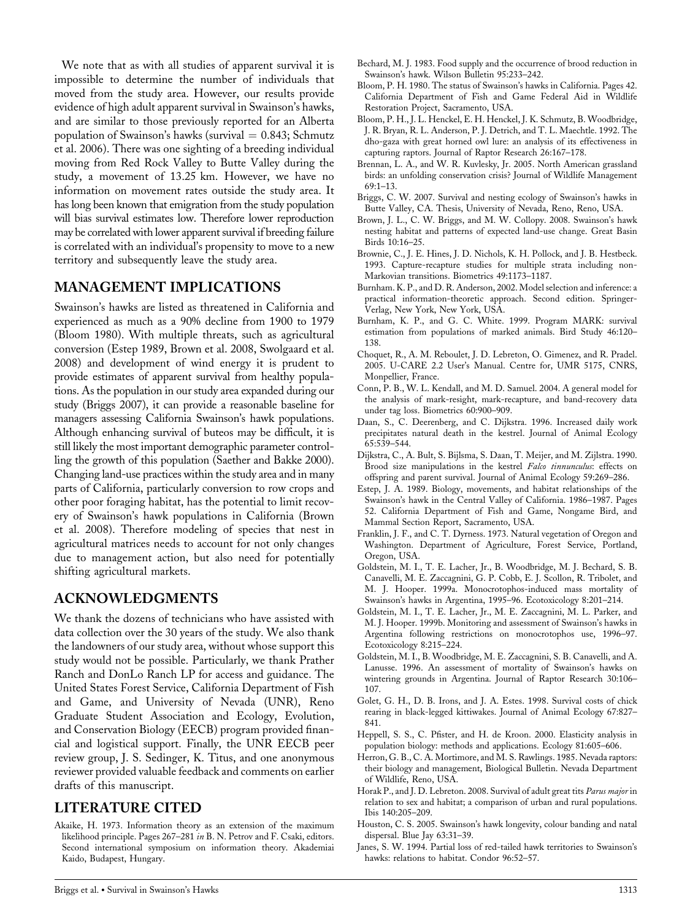We note that as with all studies of apparent survival it is impossible to determine the number of individuals that moved from the study area. However, our results provide evidence of high adult apparent survival in Swainson's hawks, and are similar to those previously reported for an Alberta population of Swainson's hawks (survival  $= 0.843$ ; Schmutz et al. 2006). There was one sighting of a breeding individual moving from Red Rock Valley to Butte Valley during the study, a movement of 13.25 km. However, we have no information on movement rates outside the study area. It has long been known that emigration from the study population will bias survival estimates low. Therefore lower reproduction may be correlated with lower apparent survival if breeding failure is correlated with an individual's propensity to move to a new territory and subsequently leave the study area.

# MANAGEMENT IMPLICATIONS

Swainson's hawks are listed as threatened in California and experienced as much as a 90% decline from 1900 to 1979 (Bloom 1980). With multiple threats, such as agricultural conversion (Estep 1989, Brown et al. 2008, Swolgaard et al. 2008) and development of wind energy it is prudent to provide estimates of apparent survival from healthy populations. As the population in our study area expanded during our study (Briggs 2007), it can provide a reasonable baseline for managers assessing California Swainson's hawk populations. Although enhancing survival of buteos may be difficult, it is still likely the most important demographic parameter controlling the growth of this population (Saether and Bakke 2000). Changing land-use practices within the study area and in many parts of California, particularly conversion to row crops and other poor foraging habitat, has the potential to limit recovery of Swainson's hawk populations in California (Brown et al. 2008). Therefore modeling of species that nest in agricultural matrices needs to account for not only changes due to management action, but also need for potentially shifting agricultural markets.

#### ACKNOWLEDGMENTS

We thank the dozens of technicians who have assisted with data collection over the 30 years of the study. We also thank the landowners of our study area, without whose support this study would not be possible. Particularly, we thank Prather Ranch and DonLo Ranch LP for access and guidance. The United States Forest Service, California Department of Fish and Game, and University of Nevada (UNR), Reno Graduate Student Association and Ecology, Evolution, and Conservation Biology (EECB) program provided financial and logistical support. Finally, the UNR EECB peer review group, J. S. Sedinger, K. Titus, and one anonymous reviewer provided valuable feedback and comments on earlier drafts of this manuscript.

# LITERATURE CITED

Akaike, H. 1973. Information theory as an extension of the maximum likelihood principle. Pages 267–281 in B. N. Petrov and F. Csaki, editors. Second international symposium on information theory. Akademiai Kaido, Budapest, Hungary.

- Bechard, M. J. 1983. Food supply and the occurrence of brood reduction in Swainson's hawk. Wilson Bulletin 95:233–242.
- Bloom, P. H. 1980. The status of Swainson's hawks in California. Pages 42. California Department of Fish and Game Federal Aid in Wildlife Restoration Project, Sacramento, USA.
- Bloom, P. H., J. L. Henckel, E. H. Henckel, J. K. Schmutz, B. Woodbridge, J. R. Bryan, R. L. Anderson, P. J. Detrich, and T. L. Maechtle. 1992. The dho-gaza with great horned owl lure: an analysis of its effectiveness in capturing raptors. Journal of Raptor Research 26:167–178.
- Brennan, L. A., and W. R. Kuvlesky, Jr. 2005. North American grassland birds: an unfolding conservation crisis? Journal of Wildlife Management 69:1–13.
- Briggs, C. W. 2007. Survival and nesting ecology of Swainson's hawks in Butte Valley, CA. Thesis, University of Nevada, Reno, Reno, USA.
- Brown, J. L., C. W. Briggs, and M. W. Collopy. 2008. Swainson's hawk nesting habitat and patterns of expected land-use change. Great Basin Birds 10:16–25.
- Brownie, C., J. E. Hines, J. D. Nichols, K. H. Pollock, and J. B. Hestbeck. 1993. Capture-recapture studies for multiple strata including non-Markovian transitions. Biometrics 49:1173–1187.
- Burnham. K. P., and D. R. Anderson, 2002. Model selection and inference: a practical information-theoretic approach. Second edition. Springer-Verlag, New York, New York, USA.
- Burnham, K. P., and G. C. White. 1999. Program MARK: survival estimation from populations of marked animals. Bird Study 46:120– 138.
- Choquet, R., A. M. Reboulet, J. D. Lebreton, O. Gimenez, and R. Pradel. 2005. U-CARE 2.2 User's Manual. Centre for, UMR 5175, CNRS, Monpellier, France.
- Conn, P. B., W. L. Kendall, and M. D. Samuel. 2004. A general model for the analysis of mark-resight, mark-recapture, and band-recovery data under tag loss. Biometrics 60:900–909.
- Daan, S., C. Deerenberg, and C. Dijkstra. 1996. Increased daily work precipitates natural death in the kestrel. Journal of Animal Ecology 65:539–544.
- Dijkstra, C., A. Bult, S. Bijlsma, S. Daan, T. Meijer, and M. Zijlstra. 1990. Brood size manipulations in the kestrel Falco tinnunculus: effects on offspring and parent survival. Journal of Animal Ecology 59:269–286.
- Estep, J. A. 1989. Biology, movements, and habitat relationships of the Swainson's hawk in the Central Valley of California. 1986–1987. Pages 52. California Department of Fish and Game, Nongame Bird, and Mammal Section Report, Sacramento, USA.
- Franklin, J. F., and C. T. Dyrness. 1973. Natural vegetation of Oregon and Washington. Department of Agriculture, Forest Service, Portland, Oregon, USA.
- Goldstein, M. I., T. E. Lacher, Jr., B. Woodbridge, M. J. Bechard, S. B. Canavelli, M. E. Zaccagnini, G. P. Cobb, E. J. Scollon, R. Tribolet, and M. J. Hooper. 1999a. Monocrotophos-induced mass mortality of Swainson's hawks in Argentina, 1995–96. Ecotoxicology 8:201–214.
- Goldstein, M. I., T. E. Lacher, Jr., M. E. Zaccagnini, M. L. Parker, and M. J. Hooper. 1999b. Monitoring and assessment of Swainson's hawks in Argentina following restrictions on monocrotophos use, 1996–97. Ecotoxicology 8:215–224.
- Goldstein, M. I., B. Woodbridge, M. E. Zaccagnini, S. B. Canavelli, and A. Lanusse. 1996. An assessment of mortality of Swainson's hawks on wintering grounds in Argentina. Journal of Raptor Research 30:106– 107.
- Golet, G. H., D. B. Irons, and J. A. Estes. 1998. Survival costs of chick rearing in black-legged kittiwakes. Journal of Animal Ecology 67:827– 841.
- Heppell, S. S., C. Pfister, and H. de Kroon. 2000. Elasticity analysis in population biology: methods and applications. Ecology 81:605–606.
- Herron, G. B., C. A. Mortimore, and M. S. Rawlings. 1985. Nevada raptors: their biology and management, Biological Bulletin. Nevada Department of Wildlife, Reno, USA.
- Horak P., and J. D. Lebreton. 2008. Survival of adult great tits Parus major in relation to sex and habitat; a comparison of urban and rural populations. Ibis 140:205–209.
- Houston, C. S. 2005. Swainson's hawk longevity, colour banding and natal dispersal. Blue Jay 63:31–39.
- Janes, S. W. 1994. Partial loss of red-tailed hawk territories to Swainson's hawks: relations to habitat. Condor 96:52–57.